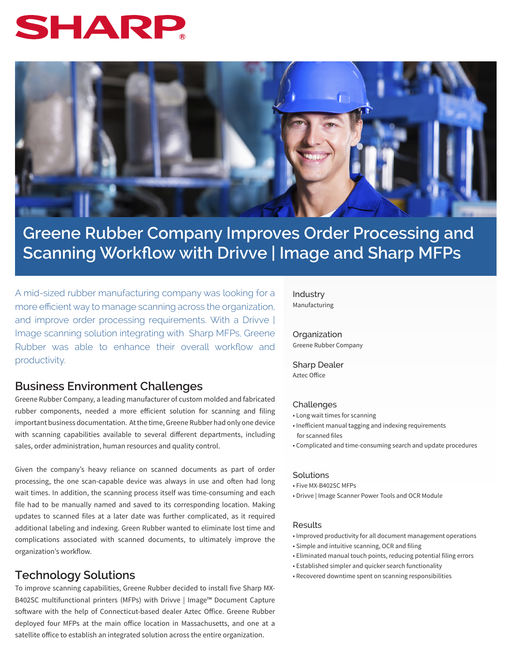# SHAR



# **Greene Rubber Company Improves Order Processing and Scanning Workflow with Drivve | Image and Sharp MFPs**

A mid-sized rubber manufacturing company was looking for a more efficient way to manage scanning across the organization, and improve order processing requirements. With a Drivve | Image scanning solution integrating with Sharp MFPs, Greene Rubber was able to enhance their overall workflow and productivity.

### **Business Environment Challenges**

Greene Rubber Company, a leading manufacturer of custom molded and fabricated rubber components, needed a more efficient solution for scanning and filing important business documentation. At the time, Greene Rubber had only one device with scanning capabilities available to several different departments, including sales, order administration, human resources and quality control.

Given the company's heavy reliance on scanned documents as part of order processing, the one scan-capable device was always in use and often had long wait times. In addition, the scanning process itself was time-consuming and each file had to be manually named and saved to its corresponding location. Making updates to scanned files at a later date was further complicated, as it required additional labeling and indexing. Green Rubber wanted to eliminate lost time and complications associated with scanned documents, to ultimately improve the organization's workflow.

## **Technology Solutions**

To improve scanning capabilities, Greene Rubber decided to install five Sharp MX-B402SC multifunctional printers (MFPs) with Drivve | Image™ Document Capture software with the help of Connecticut-based dealer Aztec Office. Greene Rubber deployed four MFPs at the main office location in Massachusetts, and one at a satellite office to establish an integrated solution across the entire organization.

Industry Manufacturing

**Organization** Greene Rubber Company

Sharp Dealer Aztec Office

#### Challenges

- Long wait times for scanning
- Inefficient manual tagging and indexing requirements for scanned files
- Complicated and time-consuming search and update procedures

#### Solutions

- Five MX-B402SC MFPs
- Drivve | Image Scanner Power Tools and OCR Module

#### Results

- Improved productivity for all document management operations
- Simple and intuitive scanning, OCR and filing
- Eliminated manual touch points, reducing potential filing errors
- Established simpler and quicker search functionality
- Recovered downtime spent on scanning responsibilities